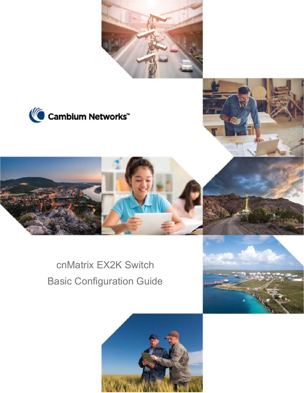







# cnMatrix EX2K Switch Basic Configuration Guide

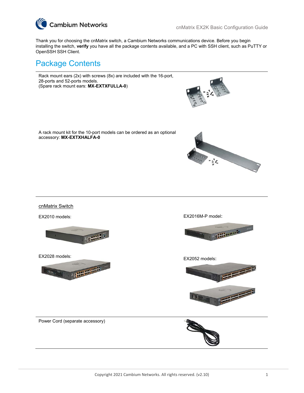

Thank you for choosing the cnMatrix switch, a Cambium Networks communications device. Before you begin installing the switch, **verify** you have all the package contents available, and a PC with SSH client, such as PuTTY or OpenSSH SSH Client.

### Package Contents

Rack mount ears (2x) with screws (8x) are included with the 16-port, 28-ports and 52-ports models. (Spare rack mount ears: **MX-EXTXFULLA-0**)



A rack mount kit for the 10-port models can be ordered as an optional accessory: **MX-EXTXHALFA-0**



#### cnMatrix Switch

EX2010 models:



EX2028 models:



EX2016M-P model:



EX2052 models:



Power Cord (separate accessory)

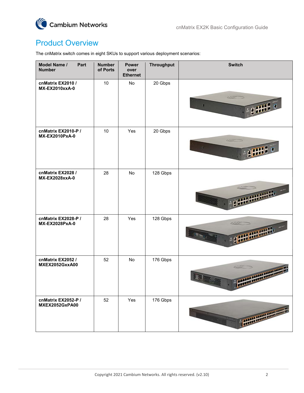

# Product Overview

The cnMatrix switch comes in eight SKUs to support various deployment scenarios:

| Model Name /<br>Part<br><b>Number</b>        | <b>Number</b><br>of Ports | <b>Power</b><br>over<br><b>Ethernet</b> | Throughput | <b>Switch</b>                       |
|----------------------------------------------|---------------------------|-----------------------------------------|------------|-------------------------------------|
| cnMatrix EX2010 /<br>MX-EX2010xxA-0          | 10                        | No                                      | 20 Gbps    | $\mathbf{H}$                        |
| cnMatrix EX2010-P /<br>MX-EX2010PxA-0        | 10                        | Yes                                     | 20 Gbps    | Ť.                                  |
| cnMatrix EX2028 /<br>MX-EX2028xxA-0          | 28                        | No                                      | 128 Gbps   |                                     |
| cnMatrix EX2028-P /<br>MX-EX2028PxA-0        | 28                        | Yes                                     | 128 Gbps   |                                     |
| cnMatrix EX2052 /<br><b>MXEX2052GxxA00</b>   | 52                        | No                                      | 176 Gbps   | <b>SEARCH</b><br><b>START START</b> |
| cnMatrix EX2052-P /<br><b>MXEX2052GxPA00</b> | 52                        | Yes                                     | 176 Gbps   | <b>CARPER CARDIO ALARMADA</b>       |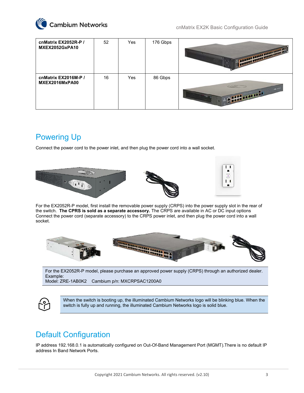

| cnMatrix EX2052R-P /<br>MXEX2052GxPA10 | 52 | Yes | 176 Gbps | THE REAL PROPERTY AND REAL PROPERTY. |
|----------------------------------------|----|-----|----------|--------------------------------------|
| cnMatrix EX2016M-P /<br>MXEX2016MxPA00 | 16 | Yes | 86 Gbps  | <b>CONTRACTOR</b>                    |

### Powering Up

Connect the power cord to the power inlet, and then plug the power cord into a wall socket.



For the EX2052R-P model, first install the removable power supply (CRPS) into the power supply slot in the rear of the switch. **The CPRS is sold as a separate accessory.** The CRPS are available in AC or DC input options Connect the power cord (separate accessory) to the CRPS power inlet, and then plug the power cord into a wall socket.



For the EX2052R-P model, please purchase an approved power supply (CRPS) through an authorized dealer. Example:

Model: ZRE-1AB0K2 Cambium p/n: MXCRPSAC1200A0



When the switch is booting up, the illuminated Cambium Networks logo will be blinking blue. When the switch is fully up and running, the illuminated Cambium Networks logo is solid blue.

# Default Configuration

IP address 192.168.0.1 is automatically configured on Out-Of-Band Management Port (MGMT).There is no default IP address In Band Network Ports.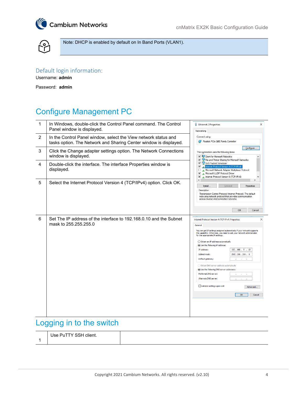



Note: DHCP is enabled by default on In Band Ports (VLAN1).

### Default login information:

Username: **admin** 

Password: **admin**

# Configure Management PC

| 1 | In Windows, double-click the Control Panel command. The Control<br>Panel window is displayed.                                        | Ethernet 2 Properties<br>$\times$<br>Networking                                                                                                                                                                                                                                                                                                                                                                                                                                                                                                                                                                                                     |
|---|--------------------------------------------------------------------------------------------------------------------------------------|-----------------------------------------------------------------------------------------------------------------------------------------------------------------------------------------------------------------------------------------------------------------------------------------------------------------------------------------------------------------------------------------------------------------------------------------------------------------------------------------------------------------------------------------------------------------------------------------------------------------------------------------------------|
| 2 | In the Control Panel window, select the View network status and<br>tasks option. The Network and Sharing Center window is displayed. | Connect using:<br>Realtek PCIe GBE Family Controller                                                                                                                                                                                                                                                                                                                                                                                                                                                                                                                                                                                                |
| 3 | Click the Change adapter settings option. The Network Connections<br>window is displayed.                                            | Configure<br>This connection uses the following items:<br>Client for Microsoft Networks                                                                                                                                                                                                                                                                                                                                                                                                                                                                                                                                                             |
| 4 | Double-click the interface. The interface Properties window is<br>displayed.                                                         | File and Printer Sharing for Microsoft Networks<br>QoS Packet Scheduler<br><b>V n</b> Internet Protocol Version 4 (TCP/IPv4)<br>. Microsoft Network Adapter Multiplexor Protocol<br>□<br>☑<br>Microsoft LLDP Protocol Driver<br>☑<br>Internet Protocol Version 6 (TCP/IPv6)                                                                                                                                                                                                                                                                                                                                                                         |
| 5 | Select the Internet Protocol Version 4 (TCP/IPv4) option. Click OK.                                                                  | $\hat{~}$<br>Uninstall<br>Install.<br>Properties<br>Description<br>Transmission Control Protocol/Internet Protocol. The default<br>wide area network protocol that provides communication<br>across diverse interconnected networks.<br>OK<br>Cancel                                                                                                                                                                                                                                                                                                                                                                                                |
| 6 | Set The IP address of the interface to 192.168.0.10 and the Subnet<br>mask to 255.255.255.0                                          | $\times$<br>Internet Protocol Version 4 (TCP/IPv4) Properties<br>General<br>You can get IP settings assigned automatically if your network supports<br>this capability. Otherwise, you need to ask your network administrator<br>for the appropriate IP settings.<br>◯ Obtain an IP address automatically<br><b>O Use the following IP address:</b><br>IP address:<br>192.168.0.10<br>Subnet mask:<br>255.255.255.0<br>Default gateway:<br>Obtain DNS server address automatically<br><b>O Use the following DNS server addresses:</b><br>Preferred DNS server:<br>Alternate DNS server:<br>Validate settings upon exit<br>Advanced<br>OK<br>Cancel |

### Logging in to the switch

| Use PuTTY SSH client. |  |
|-----------------------|--|
|                       |  |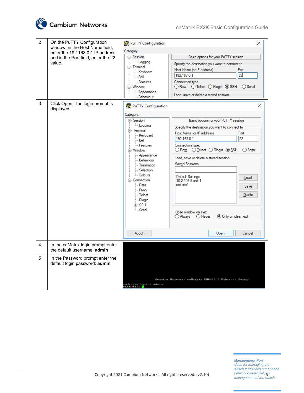

| $\overline{2}$ | On the PuTTY Configuration<br>window, in the Host Name field,<br>enter the 192.168.0.1 IP address<br>and in the Port field, enter the 22<br>value. | PuTTY Configuration<br>$\times$<br>Category:<br>Basic options for your PuTTY session<br>□ Session<br>Logging<br>Specify the destination you want to connect to<br><b>E</b> Terminal<br>Host Name (or IP address)<br>Port<br>Keyboard<br>22<br>192.168.0.1<br><b>Bell</b><br>Features<br>Connection type:<br>○ Telnet ○ Rlogin ● SSH<br>○ Raw<br>$\bigcirc$ Serial<br>□ Window<br>- Appearance<br>Load, save or delete a stored session                                                                                                                                                                                                                                                                                                                                                                                               |
|----------------|----------------------------------------------------------------------------------------------------------------------------------------------------|--------------------------------------------------------------------------------------------------------------------------------------------------------------------------------------------------------------------------------------------------------------------------------------------------------------------------------------------------------------------------------------------------------------------------------------------------------------------------------------------------------------------------------------------------------------------------------------------------------------------------------------------------------------------------------------------------------------------------------------------------------------------------------------------------------------------------------------|
| 3              | Click Open. The login prompt is<br>displayed.                                                                                                      | - Behaviour<br>PuTTY Configuration<br>×<br>Category:<br>⊟-Session<br>Basic options for your PuTTY session<br>- Logging<br>Specify the destination you want to connect to<br><b>⊟</b> Terminal<br>Host Name (or IP address)<br>Port<br>- Keyboard<br>192.168.0.1<br>22<br>$\mathbb{R}$ Bell<br>- Features<br>Connection type:<br>○ Raw ○ Telnet ○ Rlogin ● SSH<br>$\bigcirc$ Serial<br><b>E</b> Window<br>- Appearance<br>Load, save or delete a stored session<br>Behaviour<br><b>Saved Sessions</b><br>Translation<br>- Selection<br>- Colours<br>Default Settings<br>Load<br><b>⊟</b> Connection<br>10.2.109.5 unit 1<br>unit stef<br>≔ Data<br>Save<br>--- Proxy<br>- Telnet<br>Delete<br>Rlogin<br>国·SSH<br>- Serial<br>Close window on exit:<br>◯ Always<br>$\bigcirc$ Never<br>◉ Only on clean exit<br>About<br>Cancel<br>Open |
| 4              | In the cnMatrix login prompt enter<br>the default username: admin                                                                                  |                                                                                                                                                                                                                                                                                                                                                                                                                                                                                                                                                                                                                                                                                                                                                                                                                                      |
| 5              | In the Password prompt enter the<br>default login password: admin                                                                                  | Cambium Networks cnMatrix EX2010-P Ethernet Switch<br>nMatrix login: admin<br>assword:                                                                                                                                                                                                                                                                                                                                                                                                                                                                                                                                                                                                                                                                                                                                               |

*Management Port Used for Managing the switch.It provides out of band network connectivity for management of the switch.*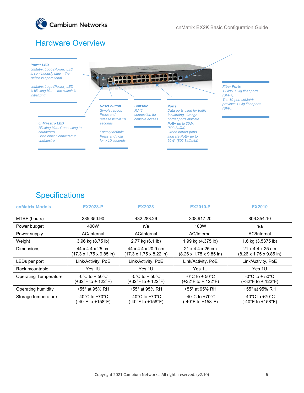

# Hardware Overview



### **Specifications**

| <b>cnMatrix Models</b>       | <b>EX2028-P</b>                                           | <b>EX2028</b>                                                     | <b>EX2010-P</b>                                                                    | <b>EX2010</b>                                                                      |
|------------------------------|-----------------------------------------------------------|-------------------------------------------------------------------|------------------------------------------------------------------------------------|------------------------------------------------------------------------------------|
| MTBF (hours)                 | 285.350.90                                                | 432.283.26                                                        | 338.917.20                                                                         | 806.354.10                                                                         |
| Power budget                 | 400W                                                      | n/a                                                               | 100W                                                                               | n/a                                                                                |
| Power supply                 | AC/Internal                                               | AC/Internal                                                       | AC/Internal                                                                        | AC/Internal                                                                        |
| Weight                       | 3.96 kg (8.75 lb)                                         | 2.77 kg (6.1 lb)                                                  | 1.99 kg (4.375 lb)                                                                 | 1.6 kg (3.5375 lb)                                                                 |
| <b>Dimensions</b>            | 44 x 4.4 x 25 cm<br>(17.3 x 1.75 x 9.85 in)               | 44 x 4.4 x 20.9 cm<br>$(17.3 \times 1.75 \times 8.22 \text{ in})$ | 21 x 4.4 x 25 cm<br>$(8.26 \times 1.75 \times 9.85 \text{ in})$                    | 21 x 4.4 x 25 cm<br>$(8.26 \times 1.75 \times 9.85)$ in                            |
| LEDs per port                | Link/Activity, PoE                                        | Link/Activity, PoE                                                | Link/Activity, PoE                                                                 | Link/Activity, PoE                                                                 |
| Rack mountable               | Yes 1U                                                    | Yes 1U                                                            | Yes 1U                                                                             | Yes 1U                                                                             |
| <b>Operating Temperature</b> | $-0^{\circ}$ C to + 50 $^{\circ}$ C<br>(+32°F to + 122°F) | -0°C to + 50°C<br>(+32°F to + 122°F)                              | $-0^{\circ}$ C to + 50 $^{\circ}$ C<br>$(+32^{\circ}F \text{ to } + 122^{\circ}F)$ | $-0^{\circ}$ C to + 50 $^{\circ}$ C<br>$(+32^{\circ}F \text{ to } + 122^{\circ}F)$ |
| Operating humidity           | +55° at 95% RH                                            | +55° at 95% RH                                                    | +55° at 95% RH                                                                     | +55° at 95% RH                                                                     |
| Storage temperature          | $-40^{\circ}$ C to $+70^{\circ}$ C<br>(-40°F to +158°F)   | -40 $^{\circ}$ C to +70 $^{\circ}$ C<br>(-40°F to +158°F)         | -40 $^{\circ}$ C to +70 $^{\circ}$ C<br>(-40°F to +158°F)                          | -40 $^{\circ}$ C to +70 $^{\circ}$ C<br>(-40°F to +158°F)                          |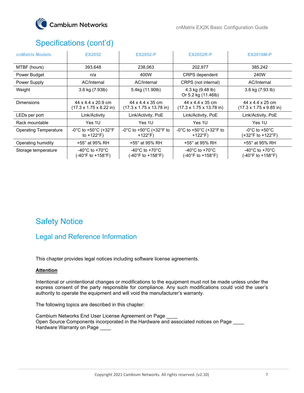

# Specifications (cont'd)

| <b>cnMatrix Models</b>       | <b>EX2052</b>                                                                | <b>EX2052-P</b>                                                  | <b>EX2052R-P</b>                                                 | <b>EX2016M-P</b>                                                |
|------------------------------|------------------------------------------------------------------------------|------------------------------------------------------------------|------------------------------------------------------------------|-----------------------------------------------------------------|
| MTBF (hours)                 | 393,648                                                                      | 238,063                                                          | 202,977                                                          | 385,242                                                         |
| Power Budget                 | n/a                                                                          | 400W                                                             | <b>CRPS</b> dependent                                            | 240W                                                            |
| Power Supply                 | AC/Internal                                                                  | AC/Internal                                                      | CRPS (not internal)                                              | AC/Internal                                                     |
| Weight                       | 3.6 kg (7.93lb)                                                              | 5.4kg (11.90lb)                                                  | 4.3 kg (9.48 lb)<br>Or 5.2 kg (11.46lb)                          | 3.6 kg (7.93 lb)                                                |
| <b>Dimensions</b>            | 44 x 4.4 x 20.9 cm<br>$(17.3 \times 1.75 \times 8.22 \text{ in})$            | 44 x 4.4 x 35 cm<br>$(17.3 \times 1.75 \times 13.78 \text{ in})$ | 44 x 4.4 x 35 cm<br>$(17.3 \times 1.75 \times 13.78 \text{ in})$ | 44 x 4.4 x 25 cm<br>$(17.3 \times 1.75 \times 9.85 \text{ in})$ |
| LEDs per port                | Link/Activity                                                                | Link/Activity, PoE                                               | Link/Activity, PoE                                               | Link/Activity, PoE                                              |
| Rack mountable               | Yes 1U                                                                       | Yes 1U                                                           | Yes 1U                                                           | Yes 1U                                                          |
| <b>Operating Temperature</b> | $-0^{\circ}$ C to +50 $^{\circ}$ C (+32 $^{\circ}$ F<br>to $+122^{\circ}F$ ) | -0°C to +50°C (+32°F to<br>$+122^{\circ}F$                       | -0°C to +50°C (+32°F to<br>$+122^{\circ}F$                       | $-0^{\circ}$ C to $+50^{\circ}$ C<br>(+32°F to +122°F)          |
| Operating humidity           | +55° at 95% RH                                                               | +55° at 95% RH                                                   | +55° at 95% RH                                                   | +55° at 95% RH                                                  |
| Storage temperature          | -40 $^{\circ}$ C to +70 $^{\circ}$ C<br>(-40°F to +158°F)                    | -40 $^{\circ}$ C to +70 $^{\circ}$ C<br>(-40°F to +158°F)        | -40°C to +70°C<br>(-40°F to +158°F)                              | -40 $^{\circ}$ C to +70 $^{\circ}$ C<br>(-40°F to +158°F)       |

# Safety Notice

### Legal and Reference Information

This chapter provides legal notices including software license agreements.

#### **Attention**

Intentional or unintentional changes or modifications to the equipment must not be made unless under the express consent of the party responsible for compliance. Any such modifications could void the user's authority to operate the equipment and will void the manufacturer's warranty.

The following topics are described in this chapter:

Cambium Networks End User License Agreement on Page Open Source Components incorporated in the Hardware and associated notices on Page \_\_\_\_ Hardware Warranty on Page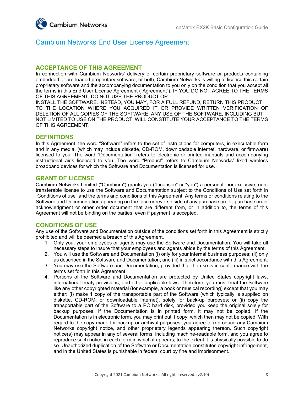

### Cambium Networks End User License Agreement

#### **ACCEPTANCE OF THIS AGREEMENT**

In connection with Cambium Networks' delivery of certain proprietary software or products containing embedded or pre-loaded proprietary software, or both, Cambium Networks is willing to license this certain proprietary software and the accompanying documentation to you only on the condition that you accept all the terms in this End User License Agreement ("Agreement"). IF YOU DO NOT AGREE TO THE TERMS OF THIS AGREEMENT, DO NOT USE THE PRODUCT OR

INSTALL THE SOFTWARE. INSTEAD, YOU MAY, FOR A FULL REFUND, RETURN THIS PRODUCT TO THE LOCATION WHERE YOU ACQUIRED IT OR PROVIDE WRITTEN VERIFICATION OF DELETION OF ALL COPIES OF THE SOFTWARE. ANY USE OF THE SOFTWARE, INCLUDING BUT NOT LIMITED TO USE ON THE PRODUCT, WILL CONSTITUTE YOUR ACCEPTANCE TO THE TERMS OF THIS AGREEMENT.

#### **DEFINITIONS**

In this Agreement, the word "Software" refers to the set of instructions for computers, in executable form and in any media, (which may include diskette, CD-ROM, downloadable internet, hardware, or firmware) licensed to you. The word "Documentation" refers to electronic or printed manuals and accompanying instructional aids licensed to you. The word "Product" refers to Cambium Networks' fixed wireless broadband devices for which the Software and Documentation is licensed for use.

#### **GRANT OF LICENSE**

Cambium Networks Limited ("Cambium") grants you ("Licensee" or "you") a personal, nonexclusive, nontransferable license to use the Software and Documentation subject to the Conditions of Use set forth in "Conditions of use" and the terms and conditions of this Agreement. Any terms or conditions relating to the Software and Documentation appearing on the face or reverse side of any purchase order, purchase order acknowledgment or other order document that are different from, or in addition to, the terms of this Agreement will not be binding on the parties, even if payment is accepted.

#### **CONDITIONS OF USE**

Any use of the Software and Documentation outside of the conditions set forth in this Agreement is strictly prohibited and will be deemed a breach of this Agreement.

- 1. Only you, your employees or agents may use the Software and Documentation. You will take all necessary steps to insure that your employees and agents abide by the terms of this Agreement.
- 2. You will use the Software and Documentation (i) only for your internal business purposes; (ii) only as described in the Software and Documentation; and (iii) in strict accordance with this Agreement.
- 3. You may use the Software and Documentation, provided that the use is in conformance with the terms set forth in this Agreement.
- 4. Portions of the Software and Documentation are protected by United States copyright laws, international treaty provisions, and other applicable laws. Therefore, you must treat the Software like any other copyrighted material (for example, a book or musical recording) except that you may either: (i) make 1 copy of the transportable part of the Software (which typically is supplied on diskette, CD-ROM, or downloadable internet), solely for back-up purposes; or (ii) copy the transportable part of the Software to a PC hard disk, provided you keep the original solely for backup purposes. If the Documentation is in printed form, it may not be copied. If the Documentation is in electronic form, you may print out 1 copy, which then may not be copied. With regard to the copy made for backup or archival purposes, you agree to reproduce any Cambium Networks copyright notice, and other proprietary legends appearing thereon. Such copyright notice(s) may appear in any of several forms, including machine-readable form, and you agree to reproduce such notice in each form in which it appears, to the extent it is physically possible to do so. Unauthorized duplication of the Software or Documentation constitutes copyright infringement, and in the United States is punishable in federal court by fine and imprisonment.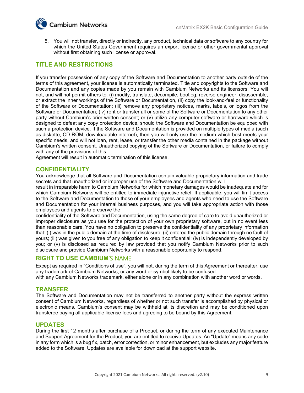

5. You will not transfer, directly or indirectly, any product, technical data or software to any country for which the United States Government requires an export license or other governmental approval without first obtaining such license or approval.

#### **TITLE AND RESTRICTIONS**

If you transfer possession of any copy of the Software and Documentation to another party outside of the terms of this agreement, your license is automatically terminated. Title and copyrights to the Software and Documentation and any copies made by you remain with Cambium Networks and its licensors. You will not, and will not permit others to: (i) modify, translate, decompile, bootleg, reverse engineer, disassemble, or extract the inner workings of the Software or Documentation, (ii) copy the look-and-feel or functionality of the Software or Documentation; (iii) remove any proprietary notices, marks, labels, or logos from the Software or Documentation; (iv) rent or transfer all or some of the Software or Documentation to any other party without Cambium's prior written consent; or (v) utilize any computer software or hardware which is designed to defeat any copy protection device, should the Software and Documentation be equipped with such a protection device. If the Software and Documentation is provided on multiple types of media (such as diskette, CD-ROM, downloadable internet), then you will only use the medium which best meets your specific needs, and will not loan, rent, lease, or transfer the other media contained in the package without Cambium's written consent. Unauthorized copying of the Software or Documentation, or failure to comply with any of the provisions of this

Agreement will result in automatic termination of this license.

#### **CONFIDENTIALITY**

You acknowledge that all Software and Documentation contain valuable proprietary information and trade secrets and that unauthorized or improper use of the Software and Documentation will

result in irreparable harm to Cambium Networks for which monetary damages would be inadequate and for which Cambium Networks will be entitled to immediate injunctive relief. If applicable, you will limit access to the Software and Documentation to those of your employees and agents who need to use the Software and Documentation for your internal business purposes, and you will take appropriate action with those employees and agents to preserve the

confidentiality of the Software and Documentation, using the same degree of care to avoid unauthorized or improper disclosure as you use for the protection of your own proprietary software, but in no event less than reasonable care. You have no obligation to preserve the confidentiality of any proprietary information that: (i) was in the public domain at the time of disclosure; (ii) entered the public domain through no fault of yours; (iii) was given to you free of any obligation to keep it confidential; (iv) is independently developed by you; or (v) is disclosed as required by law provided that you notify Cambium Networks prior to such disclosure and provide Cambium Networks with a reasonable opportunity to respond.

#### **RIGHT TO USE CAMBIUM**'S NAME

Except as required in "Conditions of use", you will not, during the term of this Agreement or thereafter, use any trademark of Cambium Networks, or any word or symbol likely to be confused

with any Cambium Networks trademark, either alone or in any combination with another word or words.

#### **TRANSFER**

The Software and Documentation may not be transferred to another party without the express written consent of Cambium Networks, regardless of whether or not such transfer is accomplished by physical or electronic means. Cambium's consent may be withheld at its discretion and may be conditioned upon transferee paying all applicable license fees and agreeing to be bound by this Agreement.

#### **UPDATES**

During the first 12 months after purchase of a Product, or during the term of any executed Maintenance and Support Agreement for the Product, you are entitled to receive Updates. An "Update" means any code in any form which is a bug fix, patch, error correction, or minor enhancement, but excludes any major feature added to the Software. Updates are available for download at the support website.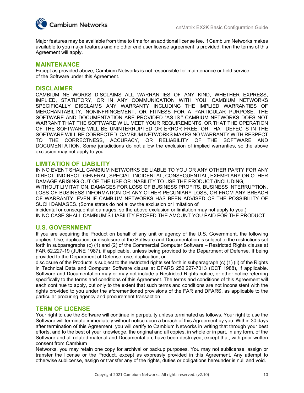

Major features may be available from time to time for an additional license fee. If Cambium Networks makes available to you major features and no other end user license agreement is provided, then the terms of this Agreement will apply.

#### **MAINTENANCE**

Except as provided above, Cambium Networks is not responsible for maintenance or field service of the Software under this Agreement.

#### **DISCLAIMER**

CAMBIUM NETWORKS DISCLAIMS ALL WARRANTIES OF ANY KIND, WHETHER EXPRESS, IMPLIED, STATUTORY, OR IN ANY COMMUNICATION WITH YOU. CAMBIUM NETWORKS SPECIFICALLY DISCLAIMS ANY WARRANTY INCLUDING THE IMPLIED WARRANTIES OF MERCHANTABILTY, NONINFRINGEMENT, OR FITNESS FOR A PARTICULAR PURPOSE. THE SOFTWARE AND DOCUMENTATION ARE PROVIDED "AS IS." CAMBIUM NETWORKS DOES NOT WARRANT THAT THE SOFTWARE WILL MEET YOUR REQUIREMENTS, OR THAT THE OPERATION OF THE SOFTWARE WILL BE UNINTERRUPTED OR ERROR FREE, OR THAT DEFECTS IN THE SOFTWARE WILL BE CORRECTED. CAMBIUM NETWORKS MAKES NO WARRANTY WITH RESPECT TO THE CORRECTNESS, ACCURACY, OR RELIABILITY OF THE SOFTWARE AND DOCUMENTATION. Some jurisdictions do not allow the exclusion of implied warranties, so the above exclusion may not apply to you.

#### **LIMITATION OF LIABILITY**

IN NO EVENT SHALL CAMBIUM NETWORKS BE LIABLE TO YOU OR ANY OTHER PARTY FOR ANY DIRECT, INDIRECT, GENERAL, SPECIAL, INCIDENTAL, CONSEQUENTIAL, EXEMPLARY OR OTHER DAMAGE ARISING OUT OF THE USE OR INABILITY TO USE THE PRODUCT (INCLUDING, WITHOUT LIMITATION, DAMAGES FOR LOSS OF BUSINESS PROFITS, BUSINESS INTERRUPTION, LOSS OF BUSINESS INFORMATION OR ANY OTHER PECUNIARY LOSS, OR FROM ANY BREACH OF WARRANTY, EVEN IF CAMBIUM NETWORKS HAS BEEN ADVISED OF THE POSSIBILITY OF SUCH DAMAGES. (Some states do not allow the exclusion or limitation of

incidental or consequential damages, so the above exclusion or limitation may not apply to you.)

IN NO CASE SHALL CAMBIUM'S LIABILITY EXCEED THE AMOUNT YOU PAID FOR THE PRODUCT.

#### **U.S. GOVERNMENT**

If you are acquiring the Product on behalf of any unit or agency of the U.S. Government, the following applies. Use, duplication, or disclosure of the Software and Documentation is subject to the restrictions set forth in subparagraphs (c) (1) and (2) of the Commercial Computer Software – Restricted Rights clause at FAR 52.227-19 (JUNE 1987), if applicable, unless being provided to the Department of Defense. If being provided to the Department of Defense, use, duplication, or

disclosure of the Products is subject to the restricted rights set forth in subparagraph (c) (1) (ii) of the Rights in Technical Data and Computer Software clause at DFARS 252.227-7013 (OCT 1988), if applicable. Software and Documentation may or may not include a Restricted Rights notice, or other notice referring specifically to the terms and conditions of this Agreement. The terms and conditions of this Agreement will each continue to apply, but only to the extent that such terms and conditions are not inconsistent with the rights provided to you under the aforementioned provisions of the FAR and DFARS, as applicable to the particular procuring agency and procurement transaction.

#### **TERM OF LICENSE**

Your right to use the Software will continue in perpetuity unless terminated as follows. Your right to use the Software will terminate immediately without notice upon a breach of this Agreement by you. Within 30 days after termination of this Agreement, you will certify to Cambium Networks in writing that through your best efforts, and to the best of your knowledge, the original and all copies, in whole or in part, in any form, of the Software and all related material and Documentation, have been destroyed, except that, with prior written consent from Cambium

Networks, you may retain one copy for archival or backup purposes. You may not sublicense, assign or transfer the license or the Product, except as expressly provided in this Agreement. Any attempt to otherwise sublicense, assign or transfer any of the rights, duties or obligations hereunder is null and void.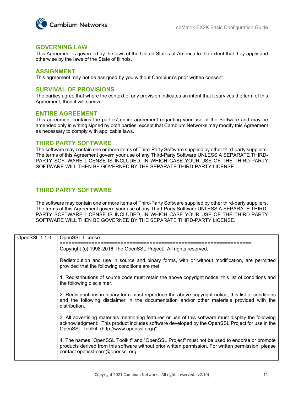

#### **GOVERNING LAW**

This Agreement is governed by the laws of the United States of America to the extent that they apply and otherwise by the laws of the State of Illinois.

#### **ASSIGNMENT**

This agreement may not be assigned by you without Cambium's prior written consent.

#### **SURVIVAL OF PROVISIONS**

The parties agree that where the context of any provision indicates an intent that it survives the term of this Agreement, then it will survive.

#### **ENTIRE AGREEMENT**

This agreement contains the parties' entire agreement regarding your use of the Software and may be amended only in writing signed by both parties, except that Cambium Networks may modify this Agreement as necessary to comply with applicable laws.

#### **THIRD PARTY SOFTWARE**

The software may contain one or more items of Third-Party Software supplied by other third-party suppliers. The terms of this Agreement govern your use of any Third-Party Software UNLESS A SEPARATE THIRD-PARTY SOFTWARE LICENSE IS INCLUDED, IN WHICH CASE YOUR USE OF THE THIRD-PARTY SOFTWARE WILL THEN BE GOVERNED BY THE SEPARATE THIRD-PARTY LICENSE.

#### **THIRD PARTY SOFTWARE**

The software may contain one or more items of Third-Party Software supplied by other third-party suppliers. The terms of this Agreement govern your use of any Third-Party Software UNLESS A SEPARATE THIRD-PARTY SOFTWARE LICENSE IS INCLUDED, IN WHICH CASE YOUR USE OF THE THIRD-PARTY SOFTWARE WILL THEN BE GOVERNED BY THE SEPARATE THIRD-PARTY LICENSE.

| OpenSSL 1.1.0 | OpenSSL License                                                                                                                                                                                                                                       |
|---------------|-------------------------------------------------------------------------------------------------------------------------------------------------------------------------------------------------------------------------------------------------------|
|               | Copyright (c) 1998-2016 The OpenSSL Project. All rights reserved.                                                                                                                                                                                     |
|               | Redistribution and use in source and binary forms, with or without modification, are permitted<br>provided that the following conditions are met:                                                                                                     |
|               | 1. Redistributions of source code must retain the above copyright notice, this list of conditions and<br>the following disclaimer.                                                                                                                    |
|               | 2. Redistributions in binary form must reproduce the above copyright notice, this list of conditions<br>and the following disclaimer in the documentation and/or other materials provided with the<br>distribution.                                   |
|               | 3. All advertising materials mentioning features or use of this software must display the following<br>acknowledgment: "This product includes software developed by the OpenSSL Project for use in the<br>OpenSSL Toolkit. (http://www.openssl.org/)" |
|               | 4. The names "OpenSSL Toolkit" and "OpenSSL Project" must not be used to endorse or promote<br>products derived from this software without prior written permission. For written permission, please<br>contact openssl-core@openssl.org.              |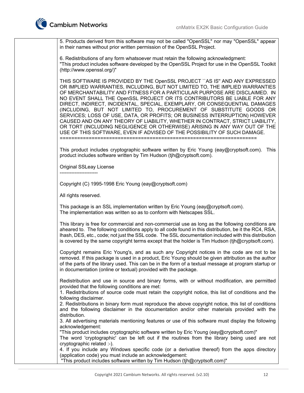

5. Products derived from this software may not be called "OpenSSL" nor may "OpenSSL" appear in their names without prior written permission of the OpenSSL Project.

6. Redistributions of any form whatsoever must retain the following acknowledgment: "This product includes software developed by the OpenSSL Project for use in the OpenSSL Toolkit (http://www.openssl.org/)"

THIS SOFTWARE IS PROVIDED BY THE OpenSSL PROJECT ``AS IS'' AND ANY EXPRESSED OR IMPLIED WARRANTIES, INCLUDING, BUT NOT LIMITED TO, THE IMPLIED WARRANTIES OF MERCHANTABILITY AND FITNESS FOR A PARTICULAR PURPOSE ARE DISCLAIMED. IN NO EVENT SHALL THE OpenSSL PROJECT OR ITS CONTRIBUTORS BE LIABLE FOR ANY DIRECT, INDIRECT, INCIDENTAL, SPECIAL, EXEMPLARY, OR CONSEQUENTIAL DAMAGES (INCLUDING, BUT NOT LIMITED TO, PROCUREMENT OF SUBSTITUTE GOODS OR SERVICES; LOSS OF USE, DATA, OR PROFITS; OR BUSINESS INTERRUPTION) HOWEVER CAUSED AND ON ANY THEORY OF LIABILITY, WHETHER IN CONTRACT, STRICT LIABILITY, OR TORT (INCLUDING NEGLIGENCE OR OTHERWISE) ARISING IN ANY WAY OUT OF THE USE OF THIS SOFTWARE, EVEN IF ADVISED OF THE POSSIBILITY OF SUCH DAMAGE. ====================================================================

This product includes cryptographic software written by Eric Young (eay@cryptsoft.com). This product includes software written by Tim Hudson (tjh@cryptsoft.com).

Original SSLeay License

-----------------------

Copyright (C) 1995-1998 Eric Young (eay@cryptsoft.com)

All rights reserved.

This package is an SSL implementation written by Eric Young (eay@cryptsoft.com). The implementation was written so as to conform with Netscapes SSL.

This library is free for commercial and non-commercial use as long as the following conditions are aheared to. The following conditions apply to all code found in this distribution, be it the RC4, RSA, lhash, DES, etc., code; not just the SSL code. The SSL documentation included with this distribution is covered by the same copyright terms except that the holder is Tim Hudson (tjh@cryptsoft.com).

Copyright remains Eric Young's, and as such any Copyright notices in the code are not to be removed. If this package is used in a product, Eric Young should be given attribution as the author of the parts of the library used. This can be in the form of a textual message at program startup or in documentation (online or textual) provided with the package.

Redistribution and use in source and binary forms, with or without modification, are permitted provided that the following conditions are met:

1. Redistributions of source code must retain the copyright notice, this list of conditions and the following disclaimer.

2. Redistributions in binary form must reproduce the above copyright notice, this list of conditions and the following disclaimer in the documentation and/or other materials provided with the distribution.

3. All advertising materials mentioning features or use of this software must display the following acknowledgement:

"This product includes cryptographic software written by Eric Young (eay@cryptsoft.com)"

The word 'cryptographic' can be left out if the routines from the library being used are not cryptographic related :-).

4. If you include any Windows specific code (or a derivative thereof) from the apps directory (application code) you must include an acknowledgement:

"This product includes software written by Tim Hudson (tjh@cryptsoft.com)"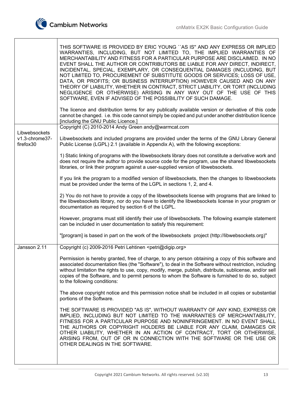Г

٦

|                                              | THIS SOFTWARE IS PROVIDED BY ERIC YOUNG "AS IS" AND ANY EXPRESS OR IMPLIED<br>WARRANTIES, INCLUDING, BUT NOT LIMITED TO, THE IMPLIED WARRANTIES OF<br>MERCHANTABILITY AND FITNESS FOR A PARTICULAR PURPOSE ARE DISCLAIMED. IN NO<br>EVENT SHALL THE AUTHOR OR CONTRIBUTORS BE LIABLE FOR ANY DIRECT, INDIRECT,<br>INCIDENTAL, SPECIAL, EXEMPLARY, OR CONSEQUENTIAL DAMAGES (INCLUDING, BUT<br>NOT LIMITED TO, PROCUREMENT OF SUBSTITUTE GOODS OR SERVICES; LOSS OF USE,<br>DATA, OR PROFITS; OR BUSINESS INTERRUPTION) HOWEVER CAUSED AND ON ANY<br>THEORY OF LIABILITY, WHETHER IN CONTRACT, STRICT LIABILITY, OR TORT (INCLUDING<br>NEGLIGENCE OR OTHERWISE) ARISING IN ANY WAY OUT OF THE USE OF THIS<br>SOFTWARE, EVEN IF ADVISED OF THE POSSIBILITY OF SUCH DAMAGE.<br>The licence and distribution terms for any publically available version or derivative of this code<br>cannot be changed. i.e. this code cannot simply be copied and put under another distribution licence<br>[including the GNU Public Licence.] |
|----------------------------------------------|-------------------------------------------------------------------------------------------------------------------------------------------------------------------------------------------------------------------------------------------------------------------------------------------------------------------------------------------------------------------------------------------------------------------------------------------------------------------------------------------------------------------------------------------------------------------------------------------------------------------------------------------------------------------------------------------------------------------------------------------------------------------------------------------------------------------------------------------------------------------------------------------------------------------------------------------------------------------------------------------------------------------------------|
|                                              | Copyright (C) 2010-2014 Andy Green andy@warmcat.com                                                                                                                                                                                                                                                                                                                                                                                                                                                                                                                                                                                                                                                                                                                                                                                                                                                                                                                                                                           |
| Libwebsockets<br>v1.3-chrome37-<br>firefox30 | Libwebsockets and included programs are provided under the terms of the GNU Library General<br>Public License (LGPL) 2.1 (available in Appendix A), with the following exceptions:                                                                                                                                                                                                                                                                                                                                                                                                                                                                                                                                                                                                                                                                                                                                                                                                                                            |
|                                              | 1) Static linking of programs with the libwebsockets library does not constitute a derivative work and<br>does not require the author to provide source code for the program, use the shared libwebsockets<br>libraries, or link their program against a user-supplied version of libwebsockets.                                                                                                                                                                                                                                                                                                                                                                                                                                                                                                                                                                                                                                                                                                                              |
|                                              | If you link the program to a modified version of libwebsockets, then the changes to libwebsockets<br>must be provided under the terms of the LGPL in sections 1, 2, and 4.                                                                                                                                                                                                                                                                                                                                                                                                                                                                                                                                                                                                                                                                                                                                                                                                                                                    |
|                                              | 2) You do not have to provide a copy of the libwebsockets license with programs that are linked to<br>the libwebsockets library, nor do you have to identify the libwebsockets license in your program or<br>documentation as required by section 6 of the LGPL.                                                                                                                                                                                                                                                                                                                                                                                                                                                                                                                                                                                                                                                                                                                                                              |
|                                              | However, programs must still identify their use of libwebsockets. The following example statement<br>can be included in user documentation to satisfy this requirement:                                                                                                                                                                                                                                                                                                                                                                                                                                                                                                                                                                                                                                                                                                                                                                                                                                                       |
|                                              | "[program] is based in part on the work of the libwebsockets project (http://libwebsockets.org)"                                                                                                                                                                                                                                                                                                                                                                                                                                                                                                                                                                                                                                                                                                                                                                                                                                                                                                                              |
| Jansson 2.11                                 | Copyright (c) 2009-2016 Petri Lehtinen <petri@digip.org></petri@digip.org>                                                                                                                                                                                                                                                                                                                                                                                                                                                                                                                                                                                                                                                                                                                                                                                                                                                                                                                                                    |
|                                              | Permission is hereby granted, free of charge, to any person obtaining a copy of this software and<br>associated documentation files (the "Software"), to deal in the Software without restriction, including<br>without limitation the rights to use, copy, modify, merge, publish, distribute, sublicense, and/or sell<br>copies of the Software, and to permit persons to whom the Software is furnished to do so, subject<br>to the following conditions:                                                                                                                                                                                                                                                                                                                                                                                                                                                                                                                                                                  |
|                                              | The above copyright notice and this permission notice shall be included in all copies or substantial<br>portions of the Software.                                                                                                                                                                                                                                                                                                                                                                                                                                                                                                                                                                                                                                                                                                                                                                                                                                                                                             |
|                                              | THE SOFTWARE IS PROVIDED "AS IS", WITHOUT WARRANTY OF ANY KIND, EXPRESS OR<br>IMPLIED, INCLUDING BUT NOT LIMITED TO THE WARRANTIES OF MERCHANTABILITY,<br>FITNESS FOR A PARTICULAR PURPOSE AND NONINFRINGEMENT. IN NO EVENT SHALL<br>THE AUTHORS OR COPYRIGHT HOLDERS BE LIABLE FOR ANY CLAIM, DAMAGES OR<br>OTHER LIABILITY, WHETHER IN AN ACTION OF CONTRACT, TORT OR OTHERWISE,<br>ARISING FROM, OUT OF OR IN CONNECTION WITH THE SOFTWARE OR THE USE OR<br>OTHER DEALINGS IN THE SOFTWARE.                                                                                                                                                                                                                                                                                                                                                                                                                                                                                                                                |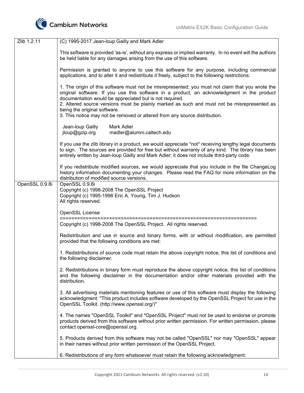

| Zlib 1.2.11    | (C) 1995-2017 Jean-loup Gailly and Mark Adler                                                                                                                                                                                                                                                                                                                                                                                                                          |
|----------------|------------------------------------------------------------------------------------------------------------------------------------------------------------------------------------------------------------------------------------------------------------------------------------------------------------------------------------------------------------------------------------------------------------------------------------------------------------------------|
|                | This software is provided 'as-is', without any express or implied warranty. In no event will the authors<br>be held liable for any damages arising from the use of this software.                                                                                                                                                                                                                                                                                      |
|                | Permission is granted to anyone to use this software for any purpose, including commercial<br>applications, and to alter it and redistribute it freely, subject to the following restrictions:                                                                                                                                                                                                                                                                         |
|                | 1. The origin of this software must not be misrepresented; you must not claim that you wrote the<br>original software. If you use this software in a product, an acknowledgment in the product<br>documentation would be appreciated but is not required.<br>2. Altered source versions must be plainly marked as such and must not be misrepresented as<br>being the original software.<br>3. This notice may not be removed or altered from any source distribution. |
|                | Jean-loup Gailly<br>Mark Adler<br>jloup@gzip.org<br>madler@alumni.caltech.edu                                                                                                                                                                                                                                                                                                                                                                                          |
|                | If you use the zlib library in a product, we would appreciate *not* receiving lengthy legal documents<br>to sign. The sources are provided for free but without warranty of any kind. The library has been<br>entirely written by Jean-loup Gailly and Mark Adler; it does not include third-party code.                                                                                                                                                               |
|                | If you redistribute modified sources, we would appreciate that you include in the file ChangeLog<br>history information documenting your changes. Please read the FAQ for more information on the<br>distribution of modified source versions.                                                                                                                                                                                                                         |
| OpenSSL 0.9.8i | OpenSSL 0.9.8i<br>Copyright (c) 1998-2008 The OpenSSL Project<br>Copyright (c) 1995-1998 Eric A. Young, Tim J. Hudson<br>All rights reserved.                                                                                                                                                                                                                                                                                                                          |
|                | <b>OpenSSL License</b>                                                                                                                                                                                                                                                                                                                                                                                                                                                 |
|                | Copyright (c) 1998-2008 The OpenSSL Project. All rights reserved.                                                                                                                                                                                                                                                                                                                                                                                                      |
|                | Redistribution and use in source and binary forms, with or without modification, are permitted<br>provided that the following conditions are met:                                                                                                                                                                                                                                                                                                                      |
|                | 1. Redistributions of source code must retain the above copyright notice, this list of conditions and<br>the following disclaimer.                                                                                                                                                                                                                                                                                                                                     |
|                | 2. Redistributions in binary form must reproduce the above copyright notice, this list of conditions<br>and the following disclaimer in the documentation and/or other materials provided with the<br>distribution.                                                                                                                                                                                                                                                    |
|                | 3. All advertising materials mentioning features or use of this software must display the following<br>acknowledgment: "This product includes software developed by the OpenSSL Project for use in the<br>OpenSSL Toolkit. (http://www.openssl.org/)"                                                                                                                                                                                                                  |
|                | 4. The names "OpenSSL Toolkit" and "OpenSSL Project" must not be used to endorse or promote<br>products derived from this software without prior written permission. For written permission, please<br>contact openssl-core@openssl.org.                                                                                                                                                                                                                               |
|                | 5. Products derived from this software may not be called "OpenSSL" nor may "OpenSSL" appear<br>in their names without prior written permission of the OpenSSL Project.                                                                                                                                                                                                                                                                                                 |
|                |                                                                                                                                                                                                                                                                                                                                                                                                                                                                        |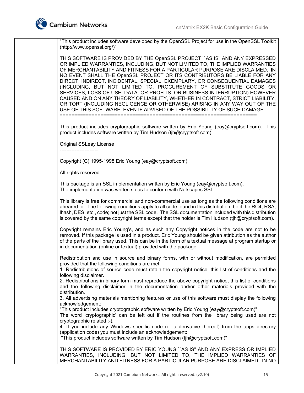

"This product includes software developed by the OpenSSL Project for use in the OpenSSL Toolkit (http://www.openssl.org/)"

THIS SOFTWARE IS PROVIDED BY THE OpenSSL PROJECT ``AS IS'' AND ANY EXPRESSED OR IMPLIED WARRANTIES, INCLUDING, BUT NOT LIMITED TO, THE IMPLIED WARRANTIES OF MERCHANTABILITY AND FITNESS FOR A PARTICULAR PURPOSE ARE DISCLAIMED. IN NO EVENT SHALL THE OpenSSL PROJECT OR ITS CONTRIBUTORS BE LIABLE FOR ANY DIRECT, INDIRECT, INCIDENTAL, SPECIAL, EXEMPLARY, OR CONSEQUENTIAL DAMAGES (INCLUDING, BUT NOT LIMITED TO, PROCUREMENT OF SUBSTITUTE GOODS OR SERVICES; LOSS OF USE, DATA, OR PROFITS; OR BUSINESS INTERRUPTION) HOWEVER CAUSED AND ON ANY THEORY OF LIABILITY, WHETHER IN CONTRACT, STRICT LIABILITY, OR TORT (INCLUDING NEGLIGENCE OR OTHERWISE) ARISING IN ANY WAY OUT OF THE USE OF THIS SOFTWARE, EVEN IF ADVISED OF THE POSSIBILITY OF SUCH DAMAGE. ====================================================================

This product includes cryptographic software written by Eric Young (eay@cryptsoft.com). This product includes software written by Tim Hudson (tjh@cryptsoft.com).

Original SSLeay License

Copyright (C) 1995-1998 Eric Young (eay@cryptsoft.com)

All rights reserved.

-----------------------

This package is an SSL implementation written by Eric Young (eay@cryptsoft.com). The implementation was written so as to conform with Netscapes SSL.

This library is free for commercial and non-commercial use as long as the following conditions are aheared to. The following conditions apply to all code found in this distribution, be it the RC4, RSA, lhash, DES, etc., code; not just the SSL code. The SSL documentation included with this distribution is covered by the same copyright terms except that the holder is Tim Hudson (tjh@cryptsoft.com).

Copyright remains Eric Young's, and as such any Copyright notices in the code are not to be removed. If this package is used in a product, Eric Young should be given attribution as the author of the parts of the library used. This can be in the form of a textual message at program startup or in documentation (online or textual) provided with the package.

Redistribution and use in source and binary forms, with or without modification, are permitted provided that the following conditions are met:

1. Redistributions of source code must retain the copyright notice, this list of conditions and the following disclaimer.

2. Redistributions in binary form must reproduce the above copyright notice, this list of conditions and the following disclaimer in the documentation and/or other materials provided with the distribution.

3. All advertising materials mentioning features or use of this software must display the following acknowledgement:

"This product includes cryptographic software written by Eric Young (eay@cryptsoft.com)"

The word 'cryptographic' can be left out if the routines from the library being used are not cryptographic related :-).

4. If you include any Windows specific code (or a derivative thereof) from the apps directory (application code) you must include an acknowledgement:

"This product includes software written by Tim Hudson (tjh@cryptsoft.com)"

THIS SOFTWARE IS PROVIDED BY ERIC YOUNG ``AS IS'' AND ANY EXPRESS OR IMPLIED WARRANTIES, INCLUDING, BUT NOT LIMITED TO, THE IMPLIED WARRANTIES OF MERCHANTABILITY AND FITNESS FOR A PARTICULAR PURPOSE ARE DISCLAIMED. IN NO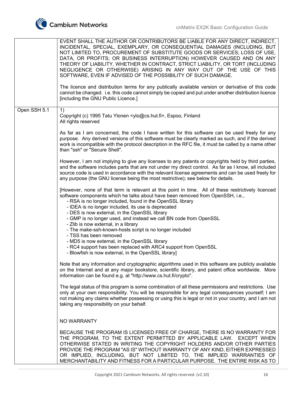

|              | EVENT SHALL THE AUTHOR OR CONTRIBUTORS BE LIABLE FOR ANY DIRECT, INDIRECT,<br>INCIDENTAL, SPECIAL, EXEMPLARY, OR CONSEQUENTIAL DAMAGES (INCLUDING, BUT<br>NOT LIMITED TO, PROCUREMENT OF SUBSTITUTE GOODS OR SERVICES; LOSS OF USE,<br>DATA, OR PROFITS; OR BUSINESS INTERRUPTION) HOWEVER CAUSED AND ON ANY<br>THEORY OF LIABILITY, WHETHER IN CONTRACT, STRICT LIABILITY, OR TORT (INCLUDING<br>NEGLIGENCE OR OTHERWISE) ARISING IN ANY WAY OUT OF THE USE OF THIS<br>SOFTWARE, EVEN IF ADVISED OF THE POSSIBILITY OF SUCH DAMAGE.<br>The licence and distribution terms for any publically available version or derivative of this code<br>cannot be changed. i.e. this code cannot simply be copied and put under another distribution licence<br>[including the GNU Public Licence.] |
|--------------|-------------------------------------------------------------------------------------------------------------------------------------------------------------------------------------------------------------------------------------------------------------------------------------------------------------------------------------------------------------------------------------------------------------------------------------------------------------------------------------------------------------------------------------------------------------------------------------------------------------------------------------------------------------------------------------------------------------------------------------------------------------------------------------------|
|              |                                                                                                                                                                                                                                                                                                                                                                                                                                                                                                                                                                                                                                                                                                                                                                                           |
| Open SSH 5.1 | 1)<br>Copyright (c) 1995 Tatu Ylonen <ylo@cs.hut.fi>, Espoo, Finland<br/>All rights reserved</ylo@cs.hut.fi>                                                                                                                                                                                                                                                                                                                                                                                                                                                                                                                                                                                                                                                                              |
|              | As far as I am concerned, the code I have written for this software can be used freely for any<br>purpose. Any derived versions of this software must be clearly marked as such, and if the derived<br>work is incompatible with the protocol description in the RFC file, it must be called by a name other<br>than "ssh" or "Secure Shell".                                                                                                                                                                                                                                                                                                                                                                                                                                             |
|              | However, I am not implying to give any licenses to any patents or copyrights held by third parties,<br>and the software includes parts that are not under my direct control. As far as I know, all included<br>source code is used in accordance with the relevant license agreements and can be used freely for<br>any purpose (the GNU license being the most restrictive); see below for details.                                                                                                                                                                                                                                                                                                                                                                                      |
|              | [However, none of that term is relevant at this point in time. All of these restrictively licenced<br>software components which he talks about have been removed from OpenSSH, i.e.,<br>- RSA is no longer included, found in the OpenSSL library<br>- IDEA is no longer included, its use is deprecated<br>- DES is now external, in the OpenSSL library<br>- GMP is no longer used, and instead we call BN code from OpenSSL<br>- Zlib is now external, in a library<br>- The make-ssh-known-hosts script is no longer included<br>- TSS has been removed<br>- MD5 is now external, in the OpenSSL library<br>- RC4 support has been replaced with ARC4 support from OpenSSL                                                                                                            |
|              | - Blowfish is now external, in the OpenSSL library]                                                                                                                                                                                                                                                                                                                                                                                                                                                                                                                                                                                                                                                                                                                                       |
|              | Note that any information and cryptographic algorithms used in this software are publicly available<br>on the Internet and at any major bookstore, scientific library, and patent office worldwide. More<br>information can be found e.g. at "http://www.cs.hut.fi/crypto".                                                                                                                                                                                                                                                                                                                                                                                                                                                                                                               |
|              | The legal status of this program is some combination of all these permissions and restrictions. Use<br>only at your own responsibility. You will be responsible for any legal consequences yourself; I am<br>not making any claims whether possessing or using this is legal or not in your country, and I am not<br>taking any responsibility on your behalf.                                                                                                                                                                                                                                                                                                                                                                                                                            |
|              | <b>NO WARRANTY</b>                                                                                                                                                                                                                                                                                                                                                                                                                                                                                                                                                                                                                                                                                                                                                                        |
|              | BECAUSE THE PROGRAM IS LICENSED FREE OF CHARGE, THERE IS NO WARRANTY FOR<br>THE PROGRAM, TO THE EXTENT PERMITTED BY APPLICABLE LAW. EXCEPT WHEN<br>OTHERWISE STATED IN WRITING THE COPYRIGHT HOLDERS AND/OR OTHER PARTIES<br>PROVIDE THE PROGRAM "AS IS" WITHOUT WARRANTY OF ANY KIND, EITHER EXPRESSED<br>OR IMPLIED, INCLUDING, BUT NOT LIMITED TO, THE IMPLIED WARRANTIES OF<br>MERCHANTABILITY AND FITNESS FOR A PARTICULAR PURPOSE. THE ENTIRE RISK AS TO                                                                                                                                                                                                                                                                                                                            |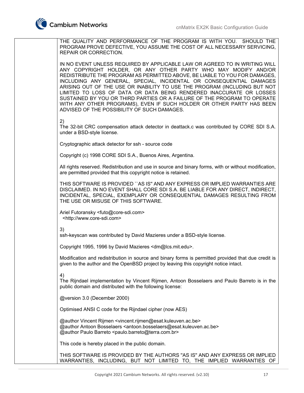THE QUALITY AND PERFORMANCE OF THE PROGRAM IS WITH YOU. SHOULD THE PROGRAM PROVE DEFECTIVE, YOU ASSUME THE COST OF ALL NECESSARY SERVICING, REPAIR OR CORRECTION. IN NO EVENT UNLESS REQUIRED BY APPLICABLE LAW OR AGREED TO IN WRITING WILL ANY COPYRIGHT HOLDER, OR ANY OTHER PARTY WHO MAY MODIFY AND/OR REDISTRIBUTE THE PROGRAM AS PERMITTED ABOVE, BE LIABLE TO YOU FOR DAMAGES, INCLUDING ANY GENERAL, SPECIAL, INCIDENTAL OR CONSEQUENTIAL DAMAGES ARISING OUT OF THE USE OR INABILITY TO USE THE PROGRAM (INCLUDING BUT NOT LIMITED TO LOSS OF DATA OR DATA BEING RENDERED INACCURATE OR LOSSES SUSTAINED BY YOU OR THIRD PARTIES OR A FAILURE OF THE PROGRAM TO OPERATE WITH ANY OTHER PROGRAMS), EVEN IF SUCH HOLDER OR OTHER PARTY HAS BEEN ADVISED OF THE POSSIBILITY OF SUCH DAMAGES. 2) The 32-bit CRC compensation attack detector in deattack.c was contributed by CORE SDI S.A. under a BSD-style license. Cryptographic attack detector for ssh - source code Copyright (c) 1998 CORE SDI S.A., Buenos Aires, Argentina. All rights reserved. Redistribution and use in source and binary forms, with or without modification, are permitted provided that this copyright notice is retained. THIS SOFTWARE IS PROVIDED ``AS IS'' AND ANY EXPRESS OR IMPLIED WARRANTIES ARE DISCLAIMED. IN NO EVENT SHALL CORE SDI S.A. BE LIABLE FOR ANY DIRECT, INDIRECT, INCIDENTAL, SPECIAL, EXEMPLARY OR CONSEQUENTIAL DAMAGES RESULTING FROM THE USE OR MISUSE OF THIS SOFTWARE. Ariel Futoransky <futo@core-sdi.com> <http://www.core-sdi.com> 3) ssh-keyscan was contributed by David Mazieres under a BSD-style license. Copyright 1995, 1996 by David Mazieres <dm@lcs.mit.edu>. Modification and redistribution in source and binary forms is permitted provided that due credit is given to the author and the OpenBSD project by leaving this copyright notice intact. 4) The Rijndael implementation by Vincent Rijmen, Antoon Bosselaers and Paulo Barreto is in the public domain and distributed with the following license: @version 3.0 (December 2000) Optimised ANSI C code for the Rijndael cipher (now AES) @author Vincent Rijmen <vincent.rijmen@esat.kuleuven.ac.be> @author Antoon Bosselaers <antoon.bosselaers@esat.kuleuven.ac.be> @author Paulo Barreto <paulo.barreto@terra.com.br> This code is hereby placed in the public domain. THIS SOFTWARE IS PROVIDED BY THE AUTHORS ''AS IS'' AND ANY EXPRESS OR IMPLIED WARRANTIES, INCLUDING, BUT NOT LIMITED TO, THE IMPLIED WARRANTIES OF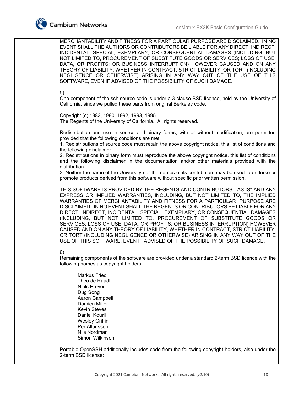

MERCHANTABILITY AND FITNESS FOR A PARTICULAR PURPOSE ARE DISCLAIMED. IN NO EVENT SHALL THE AUTHORS OR CONTRIBUTORS BE LIABLE FOR ANY DIRECT, INDIRECT, INCIDENTAL, SPECIAL, EXEMPLARY, OR CONSEQUENTIAL DAMAGES (INCLUDING, BUT NOT LIMITED TO, PROCUREMENT OF SUBSTITUTE GOODS OR SERVICES; LOSS OF USE, DATA, OR PROFITS; OR BUSINESS INTERRUPTION) HOWEVER CAUSED AND ON ANY THEORY OF LIABILITY, WHETHER IN CONTRACT, STRICT LIABILITY, OR TORT (INCLUDING NEGLIGENCE OR OTHERWISE) ARISING IN ANY WAY OUT OF THE USE OF THIS SOFTWARE, EVEN IF ADVISED OF THE POSSIBILITY OF SUCH DAMAGE. 5) One component of the ssh source code is under a 3-clause BSD license, held by the University of California, since we pulled these parts from original Berkeley code. Copyright (c) 1983, 1990, 1992, 1993, 1995 The Regents of the University of California. All rights reserved. Redistribution and use in source and binary forms, with or without modification, are permitted provided that the following conditions are met: 1. Redistributions of source code must retain the above copyright notice, this list of conditions and the following disclaimer. 2. Redistributions in binary form must reproduce the above copyright notice, this list of conditions and the following disclaimer in the documentation and/or other materials provided with the distribution. 3. Neither the name of the University nor the names of its contributors may be used to endorse or promote products derived from this software without specific prior written permission. THIS SOFTWARE IS PROVIDED BY THE REGENTS AND CONTRIBUTORS ``AS IS'' AND ANY EXPRESS OR IMPLIED WARRANTIES, INCLUDING, BUT NOT LIMITED TO, THE IMPLIED WARRANTIES OF MERCHANTABILITY AND FITNESS FOR A PARTICULAR PURPOSE ARE DISCLAIMED. IN NO EVENT SHALL THE REGENTS OR CONTRIBUTORS BE LIABLE FOR ANY DIRECT, INDIRECT, INCIDENTAL, SPECIAL, EXEMPLARY, OR CONSEQUENTIAL DAMAGES (INCLUDING, BUT NOT LIMITED TO, PROCUREMENT OF SUBSTITUTE GOODS OR SERVICES; LOSS OF USE, DATA, OR PROFITS; OR BUSINESS INTERRUPTION) HOWEVER CAUSED AND ON ANY THEORY OF LIABILITY, WHETHER IN CONTRACT, STRICT LIABILITY, OR TORT (INCLUDING NEGLIGENCE OR OTHERWISE) ARISING IN ANY WAY OUT OF THE USE OF THIS SOFTWARE, EVEN IF ADVISED OF THE POSSIBILITY OF SUCH DAMAGE. 6) Remaining components of the software are provided under a standard 2-term BSD licence with the following names as copyright holders: Markus Friedl Theo de Raadt Niels Provos Dug Song Aaron Campbell Damien Miller Kevin Steves Daniel Kouril Wesley Griffin Per Allansson Nils Nordman Simon Wilkinson Portable OpenSSH additionally includes code from the following copyright holders, also under the

2-term BSD license: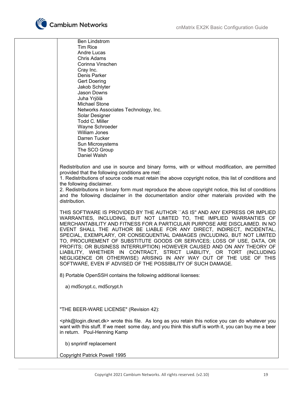

 Ben Lindstrom Tim Rice Andre Lucas Chris Adams Corinna Vinschen Cray Inc. Denis Parker Gert Doering Jakob Schlyter Jason Downs Juha Yrjölä Michael Stone Networks Associates Technology, Inc. Solar Designer Todd C. Miller Wayne Schroeder William Jones Darren Tucker Sun Microsystems The SCO Group Daniel Walsh

Redistribution and use in source and binary forms, with or without modification, are permitted provided that the following conditions are met:

1. Redistributions of source code must retain the above copyright notice, this list of conditions and the following disclaimer.

2. Redistributions in binary form must reproduce the above copyright notice, this list of conditions and the following disclaimer in the documentation and/or other materials provided with the distribution.

THIS SOFTWARE IS PROVIDED BY THE AUTHOR ``AS IS'' AND ANY EXPRESS OR IMPLIED WARRANTIES, INCLUDING, BUT NOT LIMITED TO, THE IMPLIED WARRANTIES OF MERCHANTABILITY AND FITNESS FOR A PARTICULAR PURPOSE ARE DISCLAIMED. IN NO EVENT SHALL THE AUTHOR BE LIABLE FOR ANY DIRECT, INDIRECT, INCIDENTAL, SPECIAL, EXEMPLARY, OR CONSEQUENTIAL DAMAGES (INCLUDING, BUT NOT LIMITED TO, PROCUREMENT OF SUBSTITUTE GOODS OR SERVICES; LOSS OF USE, DATA, OR PROFITS; OR BUSINESS INTERRUPTION) HOWEVER CAUSED AND ON ANY THEORY OF LIABILITY, WHETHER IN CONTRACT, STRICT LIABILITY, OR TORT (INCLUDING NEGLIGENCE OR OTHERWISE) ARISING IN ANY WAY OUT OF THE USE OF THIS SOFTWARE, EVEN IF ADVISED OF THE POSSIBILITY OF SUCH DAMAGE.

8) Portable OpenSSH contains the following additional licenses:

a) md5crypt.c, md5crypt.h

"THE BEER-WARE LICENSE" (Revision 42):

<phk@login.dknet.dk> wrote this file. As long as you retain this notice you can do whatever you want with this stuff. If we meet some day, and you think this stuff is worth it, you can buy me a beer in return. Poul-Henning Kamp

b) snprintf replacement

Copyright Patrick Powell 1995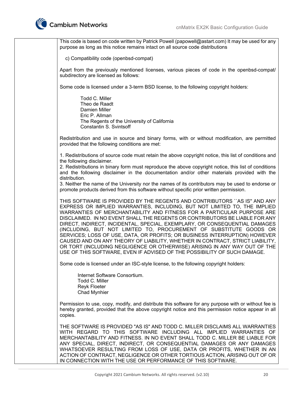

This code is based on code written by Patrick Powell (papowell@astart.com) It may be used for any purpose as long as this notice remains intact on all source code distributions

c) Compatibility code (openbsd-compat)

Apart from the previously mentioned licenses, various pieces of code in the openbsd-compat/ subdirectory are licensed as follows:

Some code is licensed under a 3-term BSD license, to the following copyright holders:

 Todd C. Miller Theo de Raadt Damien Miller Eric P. Allman The Regents of the University of California Constantin S. Svintsoff

Redistribution and use in source and binary forms, with or without modification, are permitted provided that the following conditions are met:

1. Redistributions of source code must retain the above copyright notice, this list of conditions and the following disclaimer.

2. Redistributions in binary form must reproduce the above copyright notice, this list of conditions and the following disclaimer in the documentation and/or other materials provided with the distribution.

3. Neither the name of the University nor the names of its contributors may be used to endorse or promote products derived from this software without specific prior written permission.

THIS SOFTWARE IS PROVIDED BY THE REGENTS AND CONTRIBUTORS ``AS IS'' AND ANY EXPRESS OR IMPLIED WARRANTIES, INCLUDING, BUT NOT LIMITED TO, THE IMPLIED WARRANTIES OF MERCHANTABILITY AND FITNESS FOR A PARTICULAR PURPOSE ARE DISCLAIMED. IN NO EVENT SHALL THE REGENTS OR CONTRIBUTORS BE LIABLE FOR ANY DIRECT, INDIRECT, INCIDENTAL, SPECIAL, EXEMPLARY, OR CONSEQUENTIAL DAMAGES (INCLUDING, BUT NOT LIMITED TO, PROCUREMENT OF SUBSTITUTE GOODS OR SERVICES; LOSS OF USE, DATA, OR PROFITS; OR BUSINESS INTERRUPTION) HOWEVER CAUSED AND ON ANY THEORY OF LIABILITY, WHETHER IN CONTRACT, STRICT LIABILITY, OR TORT (INCLUDING NEGLIGENCE OR OTHERWISE) ARISING IN ANY WAY OUT OF THE USE OF THIS SOFTWARE, EVEN IF ADVISED OF THE POSSIBILITY OF SUCH DAMAGE.

Some code is licensed under an ISC-style license, to the following copyright holders:

 Internet Software Consortium. Todd C. Miller Reyk Floeter Chad Mynhier

Permission to use, copy, modify, and distribute this software for any purpose with or without fee is hereby granted, provided that the above copyright notice and this permission notice appear in all copies.

THE SOFTWARE IS PROVIDED "AS IS" AND TODD C. MILLER DISCLAIMS ALL WARRANTIES WITH REGARD TO THIS SOFTWARE INCLUDING ALL IMPLIED WARRANTIES OF MERCHANTABILITY AND FITNESS. IN NO EVENT SHALL TODD C. MILLER BE LIABLE FOR ANY SPECIAL, DIRECT, INDIRECT, OR CONSEQUENTIAL DAMAGES OR ANY DAMAGES WHATSOEVER RESULTING FROM LOSS OF USE, DATA OR PROFITS, WHETHER IN AN ACTION OF CONTRACT, NEGLIGENCE OR OTHER TORTIOUS ACTION, ARISING OUT OF OR IN CONNECTION WITH THE USE OR PERFORMANCE OF THIS SOFTWARE.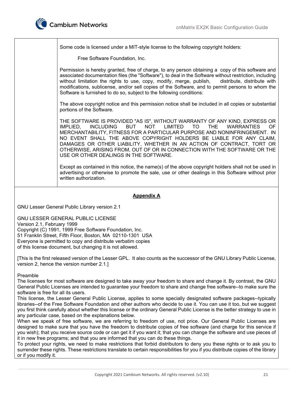

Some code is licensed under a MIT-style license to the following copyright holders: Free Software Foundation, Inc. Permission is hereby granted, free of charge, to any person obtaining a copy of this software and associated documentation files (the "Software"), to deal in the Software without restriction, including without limitation the rights to use, copy, modify, merge, publish, distribute, distribute with modifications, sublicense, and/or sell copies of the Software, and to permit persons to whom the Software is furnished to do so, subject to the following conditions: The above copyright notice and this permission notice shall be included in all copies or substantial portions of the Software. THE SOFTWARE IS PROVIDED "AS IS", WITHOUT WARRANTY OF ANY KIND, EXPRESS OR IMPLIED, INCLUDING BUT NOT LIMITED TO THE WARRANTIES OF MERCHANTABILITY, FITNESS FOR A PARTICULAR PURPOSE AND NONINFRINGEMENT. IN NO EVENT SHALL THE ABOVE COPYRIGHT HOLDERS BE LIABLE FOR ANY CLAIM, DAMAGES OR OTHER LIABILITY, WHETHER IN AN ACTION OF CONTRACT, TORT OR OTHERWISE, ARISING FROM, OUT OF OR IN CONNECTION WITH THE SOFTWARE OR THE USE OR OTHER DEALINGS IN THE SOFTWARE. Except as contained in this notice, the name(s) of the above copyright holders shall not be used in advertising or otherwise to promote the sale, use or other dealings in this Software without prior written authorization. **Appendix A**  GNU Lesser General Public Library version 2.1 GNU LESSER GENERAL PUBLIC LICENSE Version 2.1, February 1999 Copyright (C) 1991, 1999 Free Software Foundation, Inc. 51 Franklin Street, Fifth Floor, Boston, MA 02110-1301 USA Everyone is permitted to copy and distribute verbatim copies of this license document, but changing it is not allowed. [This is the first released version of the Lesser GPL. It also counts as the successor of the GNU Library Public License, version 2, hence the version number 2.1.] Preamble The licenses for most software are designed to take away your freedom to share and change it. By contrast, the GNU General Public Licenses are intended to guarantee your freedom to share and change free software--to make sure the software is free for all its users. This license, the Lesser General Public License, applies to some specially designated software packages--typically libraries--of the Free Software Foundation and other authors who decide to use it. You can use it too, but we suggest you first think carefully about whether this license or the ordinary General Public License is the better strategy to use in any particular case, based on the explanations below. When we speak of free software, we are referring to freedom of use, not price. Our General Public Licenses are designed to make sure that you have the freedom to distribute copies of free software (and charge for this service if you wish); that you receive source code or can get it if you want it; that you can change the software and use pieces of it in new free programs; and that you are informed that you can do these things. To protect your rights, we need to make restrictions that forbid distributors to deny you these rights or to ask you to

surrender these rights. These restrictions translate to certain responsibilities for you if you distribute copies of the library or if you modify it.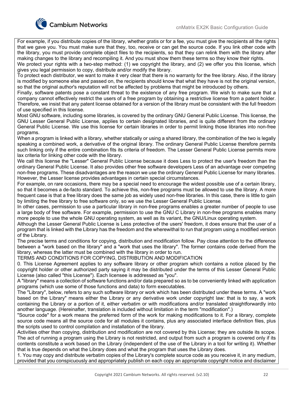

For example, if you distribute copies of the library, whether gratis or for a fee, you must give the recipients all the rights that we gave you. You must make sure that they, too, receive or can get the source code. If you link other code with the library, you must provide complete object files to the recipients, so that they can relink them with the library after making changes to the library and recompiling it. And you must show them these terms so they know their rights.

We protect your rights with a two-step method: (1) we copyright the library, and (2) we offer you this license, which gives you legal permission to copy, distribute and/or modify the library.

To protect each distributor, we want to make it very clear that there is no warranty for the free library. Also, if the library is modified by someone else and passed on, the recipients should know that what they have is not the original version, so that the original author's reputation will not be affected by problems that might be introduced by others.

Finally, software patents pose a constant threat to the existence of any free program. We wish to make sure that a company cannot effectively restrict the users of a free program by obtaining a restrictive license from a patent holder. Therefore, we insist that any patent license obtained for a version of the library must be consistent with the full freedom of use specified in this license.

Most GNU software, including some libraries, is covered by the ordinary GNU General Public License. This license, the GNU Lesser General Public License, applies to certain designated libraries, and is quite different from the ordinary General Public License. We use this license for certain libraries in order to permit linking those libraries into non-free programs.

When a program is linked with a library, whether statically or using a shared library, the combination of the two is legally speaking a combined work, a derivative of the original library. The ordinary General Public License therefore permits such linking only if the entire combination fits its criteria of freedom. The Lesser General Public License permits more lax criteria for linking other code with the library.

We call this license the "Lesser" General Public License because it does Less to protect the user's freedom than the ordinary General Public License. It also provides other free software developers Less of an advantage over competing non-free programs. These disadvantages are the reason we use the ordinary General Public License for many libraries. However, the Lesser license provides advantages in certain special circumstances.

For example, on rare occasions, there may be a special need to encourage the widest possible use of a certain library, so that it becomes a de-facto standard. To achieve this, non-free programs must be allowed to use the library. A more frequent case is that a free library does the same job as widely used non-free libraries. In this case, there is little to gain by limiting the free library to free software only, so we use the Lesser General Public License.

In other cases, permission to use a particular library in non-free programs enables a greater number of people to use a large body of free software. For example, permission to use the GNU C Library in non-free programs enables many more people to use the whole GNU operating system, as well as its variant, the GNU/Linux operating system.

Although the Lesser General Public License is Less protective of the users' freedom, it does ensure that the user of a program that is linked with the Library has the freedom and the wherewithal to run that program using a modified version of the Library.

The precise terms and conditions for copying, distribution and modification follow. Pay close attention to the difference between a "work based on the library" and a "work that uses the library". The former contains code derived from the library, whereas the latter must be combined with the library in order to run.

TERMS AND CONDITIONS FOR COPYING, DISTRIBUTION AND MODIFICATION

0. This License Agreement applies to any software library or other program which contains a notice placed by the copyright holder or other authorized party saying it may be distributed under the terms of this Lesser General Public License (also called "this License"). Each licensee is addressed as "you".

A "library" means a collection of software functions and/or data prepared so as to be conveniently linked with application programs (which use some of those functions and data) to form executables.

The "Library", below, refers to any such software library or work which has been distributed under these terms. A "work based on the Library" means either the Library or any derivative work under copyright law: that is to say, a work containing the Library or a portion of it, either verbatim or with modifications and/or translated straightforwardly into another language. (Hereinafter, translation is included without limitation in the term "modification".)

"Source code" for a work means the preferred form of the work for making modifications to it. For a library, complete source code means all the source code for all modules it contains, plus any associated interface definition files, plus the scripts used to control compilation and installation of the library.

Activities other than copying, distribution and modification are not covered by this License; they are outside its scope. The act of running a program using the Library is not restricted, and output from such a program is covered only if its contents constitute a work based on the Library (independent of the use of the Library in a tool for writing it). Whether that is true depends on what the Library does and what the program that uses the Library does.

1. You may copy and distribute verbatim copies of the Library's complete source code as you receive it, in any medium, provided that you conspicuously and appropriately publish on each copy an appropriate copyright notice and disclaimer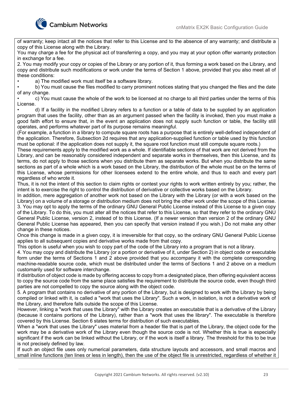

of warranty; keep intact all the notices that refer to this License and to the absence of any warranty; and distribute a copy of this License along with the Library.

You may charge a fee for the physical act of transferring a copy, and you may at your option offer warranty protection in exchange for a fee.

2. You may modify your copy or copies of the Library or any portion of it, thus forming a work based on the Library, and copy and distribute such modifications or work under the terms of Section 1 above, provided that you also meet all of these conditions:

a) The modified work must itself be a software library.

• b) You must cause the files modified to carry prominent notices stating that you changed the files and the date of any change.

• c) You must cause the whole of the work to be licensed at no charge to all third parties under the terms of this License.

• d) If a facility in the modified Library refers to a function or a table of data to be supplied by an application program that uses the facility, other than as an argument passed when the facility is invoked, then you must make a good faith effort to ensure that, in the event an application does not supply such function or table, the facility still operates, and performs whatever part of its purpose remains meaningful.

(For example, a function in a library to compute square roots has a purpose that is entirely well-defined independent of the application. Therefore, Subsection 2d requires that any application-supplied function or table used by this function must be optional: if the application does not supply it, the square root function must still compute square roots.)

These requirements apply to the modified work as a whole. If identifiable sections of that work are not derived from the Library, and can be reasonably considered independent and separate works in themselves, then this License, and its terms, do not apply to those sections when you distribute them as separate works. But when you distribute the same sections as part of a whole which is a work based on the Library, the distribution of the whole must be on the terms of this License, whose permissions for other licensees extend to the entire whole, and thus to each and every part regardless of who wrote it.

Thus, it is not the intent of this section to claim rights or contest your rights to work written entirely by you; rather, the intent is to exercise the right to control the distribution of derivative or collective works based on the Library.

In addition, mere aggregation of another work not based on the Library with the Library (or with a work based on the Library) on a volume of a storage or distribution medium does not bring the other work under the scope of this License. 3. You may opt to apply the terms of the ordinary GNU General Public License instead of this License to a given copy of the Library. To do this, you must alter all the notices that refer to this License, so that they refer to the ordinary GNU General Public License, version 2, instead of to this License. (If a newer version than version 2 of the ordinary GNU General Public License has appeared, then you can specify that version instead if you wish.) Do not make any other change in these notices.

Once this change is made in a given copy, it is irreversible for that copy, so the ordinary GNU General Public License applies to all subsequent copies and derivative works made from that copy.

This option is useful when you wish to copy part of the code of the Library into a program that is not a library.

4. You may copy and distribute the Library (or a portion or derivative of it, under Section 2) in object code or executable form under the terms of Sections 1 and 2 above provided that you accompany it with the complete corresponding machine-readable source code, which must be distributed under the terms of Sections 1 and 2 above on a medium customarily used for software interchange.

If distribution of object code is made by offering access to copy from a designated place, then offering equivalent access to copy the source code from the same place satisfies the requirement to distribute the source code, even though third parties are not compelled to copy the source along with the object code.

5. A program that contains no derivative of any portion of the Library, but is designed to work with the Library by being compiled or linked with it, is called a "work that uses the Library". Such a work, in isolation, is not a derivative work of the Library, and therefore falls outside the scope of this License.

However, linking a "work that uses the Library" with the Library creates an executable that is a derivative of the Library (because it contains portions of the Library), rather than a "work that uses the library". The executable is therefore covered by this License. Section 6 states terms for distribution of such executables.

When a "work that uses the Library" uses material from a header file that is part of the Library, the object code for the work may be a derivative work of the Library even though the source code is not. Whether this is true is especially significant if the work can be linked without the Library, or if the work is itself a library. The threshold for this to be true is not precisely defined by law.

If such an object file uses only numerical parameters, data structure layouts and accessors, and small macros and small inline functions (ten lines or less in length), then the use of the object file is unrestricted, regardless of whether it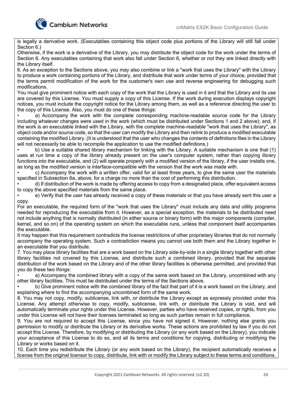

is legally a derivative work. (Executables containing this object code plus portions of the Library will still fall under Section 6.)

Otherwise, if the work is a derivative of the Library, you may distribute the object code for the work under the terms of Section 6. Any executables containing that work also fall under Section 6, whether or not they are linked directly with the Library itself.

6. As an exception to the Sections above, you may also combine or link a "work that uses the Library" with the Library to produce a work containing portions of the Library, and distribute that work under terms of your choice, provided that the terms permit modification of the work for the customer's own use and reverse engineering for debugging such modifications.

You must give prominent notice with each copy of the work that the Library is used in it and that the Library and its use are covered by this License. You must supply a copy of this License. If the work during execution displays copyright notices, you must include the copyright notice for the Library among them, as well as a reference directing the user to the copy of this License. Also, you must do one of these things:

a) Accompany the work with the complete corresponding machine-readable source code for the Library including whatever changes were used in the work (which must be distributed under Sections 1 and 2 above); and, if the work is an executable linked with the Library, with the complete machine-readable "work that uses the Library", as object code and/or source code, so that the user can modify the Library and then relink to produce a modified executable containing the modified Library. (It is understood that the user who changes the contents of definitions files in the Library will not necessarily be able to recompile the application to use the modified definitions.)

• b) Use a suitable shared library mechanism for linking with the Library. A suitable mechanism is one that (1) uses at run time a copy of the library already present on the user's computer system, rather than copying library functions into the executable, and (2) will operate properly with a modified version of the library, if the user installs one, as long as the modified version is interface-compatible with the version that the work was made with.

• c) Accompany the work with a written offer, valid for at least three years, to give the same user the materials specified in Subsection 6a, above, for a charge no more than the cost of performing this distribution.

• d) If distribution of the work is made by offering access to copy from a designated place, offer equivalent access to copy the above specified materials from the same place.

• e) Verify that the user has already received a copy of these materials or that you have already sent this user a copy.

For an executable, the required form of the "work that uses the Library" must include any data and utility programs needed for reproducing the executable from it. However, as a special exception, the materials to be distributed need not include anything that is normally distributed (in either source or binary form) with the major components (compiler, kernel, and so on) of the operating system on which the executable runs, unless that component itself accompanies the executable.

It may happen that this requirement contradicts the license restrictions of other proprietary libraries that do not normally accompany the operating system. Such a contradiction means you cannot use both them and the Library together in an executable that you distribute.

7. You may place library facilities that are a work based on the Library side-by-side in a single library together with other library facilities not covered by this License, and distribute such a combined library, provided that the separate distribution of the work based on the Library and of the other library facilities is otherwise permitted, and provided that you do these two things:

• a) Accompany the combined library with a copy of the same work based on the Library, uncombined with any other library facilities. This must be distributed under the terms of the Sections above.

• b) Give prominent notice with the combined library of the fact that part of it is a work based on the Library, and explaining where to find the accompanying uncombined form of the same work.

8. You may not copy, modify, sublicense, link with, or distribute the Library except as expressly provided under this License. Any attempt otherwise to copy, modify, sublicense, link with, or distribute the Library is void, and will automatically terminate your rights under this License. However, parties who have received copies, or rights, from you under this License will not have their licenses terminated so long as such parties remain in full compliance.

9. You are not required to accept this License, since you have not signed it. However, nothing else grants you permission to modify or distribute the Library or its derivative works. These actions are prohibited by law if you do not accept this License. Therefore, by modifying or distributing the Library (or any work based on the Library), you indicate your acceptance of this License to do so, and all its terms and conditions for copying, distributing or modifying the Library or works based on it.

10. Each time you redistribute the Library (or any work based on the Library), the recipient automatically receives a license from the original licensor to copy, distribute, link with or modify the Library subject to these terms and conditions.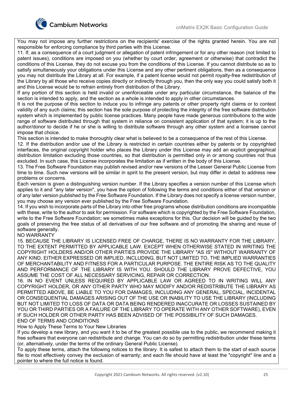

You may not impose any further restrictions on the recipients' exercise of the rights granted herein. You are not responsible for enforcing compliance by third parties with this License.

11. If, as a consequence of a court judgment or allegation of patent infringement or for any other reason (not limited to patent issues), conditions are imposed on you (whether by court order, agreement or otherwise) that contradict the conditions of this License, they do not excuse you from the conditions of this License. If you cannot distribute so as to satisfy simultaneously your obligations under this License and any other pertinent obligations, then as a consequence you may not distribute the Library at all. For example, if a patent license would not permit royalty-free redistribution of the Library by all those who receive copies directly or indirectly through you, then the only way you could satisfy both it and this License would be to refrain entirely from distribution of the Library.

If any portion of this section is held invalid or unenforceable under any particular circumstance, the balance of the section is intended to apply, and the section as a whole is intended to apply in other circumstances.

It is not the purpose of this section to induce you to infringe any patents or other property right claims or to contest validity of any such claims; this section has the sole purpose of protecting the integrity of the free software distribution system which is implemented by public license practices. Many people have made generous contributions to the wide range of software distributed through that system in reliance on consistent application of that system; it is up to the author/donor to decide if he or she is willing to distribute software through any other system and a licensee cannot impose that choice.

This section is intended to make thoroughly clear what is believed to be a consequence of the rest of this License.

12. If the distribution and/or use of the Library is restricted in certain countries either by patents or by copyrighted interfaces, the original copyright holder who places the Library under this License may add an explicit geographical distribution limitation excluding those countries, so that distribution is permitted only in or among countries not thus excluded. In such case, this License incorporates the limitation as if written in the body of this License.

13. The Free Software Foundation may publish revised and/or new versions of the Lesser General Public License from time to time. Such new versions will be similar in spirit to the present version, but may differ in detail to address new problems or concerns.

Each version is given a distinguishing version number. If the Library specifies a version number of this License which applies to it and "any later version", you have the option of following the terms and conditions either of that version or of any later version published by the Free Software Foundation. If the Library does not specify a license version number, you may choose any version ever published by the Free Software Foundation.

14. If you wish to incorporate parts of the Library into other free programs whose distribution conditions are incompatible with these, write to the author to ask for permission. For software which is copyrighted by the Free Software Foundation, write to the Free Software Foundation; we sometimes make exceptions for this. Our decision will be guided by the two goals of preserving the free status of all derivatives of our free software and of promoting the sharing and reuse of software generally.

NO WARRANTY

15. BECAUSE THE LIBRARY IS LICENSED FREE OF CHARGE, THERE IS NO WARRANTY FOR THE LIBRARY, TO THE EXTENT PERMITTED BY APPLICABLE LAW. EXCEPT WHEN OTHERWISE STATED IN WRITING THE COPYRIGHT HOLDERS AND/OR OTHER PARTIES PROVIDE THE LIBRARY "AS IS" WITHOUT WARRANTY OF ANY KIND, EITHER EXPRESSED OR IMPLIED, INCLUDING, BUT NOT LIMITED TO, THE IMPLIED WARRANTIES OF MERCHANTABILITY AND FITNESS FOR A PARTICULAR PURPOSE. THE ENTIRE RISK AS TO THE QUALITY AND PERFORMANCE OF THE LIBRARY IS WITH YOU. SHOULD THE LIBRARY PROVE DEFECTIVE, YOU ASSUME THE COST OF ALL NECESSARY SERVICING, REPAIR OR CORRECTION.

16. IN NO EVENT UNLESS REQUIRED BY APPLICABLE LAW OR AGREED TO IN WRITING WILL ANY COPYRIGHT HOLDER, OR ANY OTHER PARTY WHO MAY MODIFY AND/OR REDISTRIBUTE THE LIBRARY AS PERMITTED ABOVE, BE LIABLE TO YOU FOR DAMAGES, INCLUDING ANY GENERAL, SPECIAL, INCIDENTAL OR CONSEQUENTIAL DAMAGES ARISING OUT OF THE USE OR INABILITY TO USE THE LIBRARY (INCLUDING BUT NOT LIMITED TO LOSS OF DATA OR DATA BEING RENDERED INACCURATE OR LOSSES SUSTAINED BY YOU OR THIRD PARTIES OR A FAILURE OF THE LIBRARY TO OPERATE WITH ANY OTHER SOFTWARE), EVEN IF SUCH HOLDER OR OTHER PARTY HAS BEEN ADVISED OF THE POSSIBILITY OF SUCH DAMAGES. END OF TERMS AND CONDITIONS

How to Apply These Terms to Your New Libraries

If you develop a new library, and you want it to be of the greatest possible use to the public, we recommend making it free software that everyone can redistribute and change. You can do so by permitting redistribution under these terms (or, alternatively, under the terms of the ordinary General Public License).

To apply these terms, attach the following notices to the library. It is safest to attach them to the start of each source file to most effectively convey the exclusion of warranty; and each file should have at least the "copyright" line and a pointer to where the full notice is found.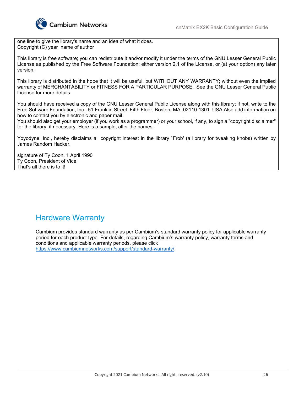

one line to give the library's name and an idea of what it does. Copyright (C) year name of author

This library is free software; you can redistribute it and/or modify it under the terms of the GNU Lesser General Public License as published by the Free Software Foundation; either version 2.1 of the License, or (at your option) any later version.

This library is distributed in the hope that it will be useful, but WITHOUT ANY WARRANTY; without even the implied warranty of MERCHANTABILITY or FITNESS FOR A PARTICULAR PURPOSE. See the GNU Lesser General Public License for more details.

You should have received a copy of the GNU Lesser General Public License along with this library; if not, write to the Free Software Foundation, Inc., 51 Franklin Street, Fifth Floor, Boston, MA 02110-1301 USA Also add information on how to contact you by electronic and paper mail.

You should also get your employer (if you work as a programmer) or your school, if any, to sign a "copyright disclaimer" for the library, if necessary. Here is a sample; alter the names:

Yoyodyne, Inc., hereby disclaims all copyright interest in the library `Frob' (a library for tweaking knobs) written by James Random Hacker.

signature of Ty Coon, 1 April 1990 Ty Coon, President of Vice That's all there is to it!

### Hardware Warranty

Cambium provides standard warranty as per Cambium's standard warranty policy for applicable warranty period for each product type. For details, regarding Cambium's warranty policy, warranty terms and conditions and applicable warranty periods, please click https://www.cambiumnetworks.com/support/standard-warranty/.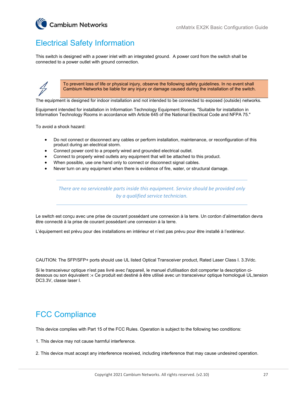

# Electrical Safety Information

This switch is designed with a power inlet with an integrated ground. A power cord from the switch shall be connected to a power outlet with ground connection.



To prevent loss of life or physical injury, observe the following safety guidelines. In no event shall Cambium Networks be liable for any injury or damage caused during the installation of the switch.

The equipment is designed for indoor installation and not intended to be connected to exposed (outside) networks.

Equipment intended for installation in Information Technology Equipment Rooms. "Suitable for installation in Information Technology Rooms in accordance with Article 645 of the National Electrical Code and NFPA 75."

To avoid a shock hazard:

- Do not connect or disconnect any cables or perform installation, maintenance, or reconfiguration of this product during an electrical storm.
- Connect power cord to a properly wired and grounded electrical outlet.
- Connect to properly wired outlets any equipment that will be attached to this product.
- When possible, use one hand only to connect or disconnect signal cables.
- Never turn on any equipment when there is evidence of fire, water, or structural damage.

*There are no serviceable parts inside this equipment. Service should be provided only by a qualified service technician.* 

Le switch est conçu avec une prise de courant possédant une connexion à la terre. Un cordon d'alimentation devra être connecté à la prise de courant possédant une connexion à la terre.

L'équipement est prévu pour des installations en intérieur et n'est pas prévu pour être installé à l'extérieur.

CAUTION: The SFP/SFP+ ports should use UL listed Optical Transceiver product, Rated Laser Class I. 3.3Vdc.

Si le transceiveur optique n'est pas livré avec l'appareil, le manuel d'utilisation doit comporter la description cidessous ou son équivalent :« Ce produit est destiné à être utilisé avec un transceiveur optique homologué UL,tension DC3.3V, classe laser I.

### FCC Compliance

This device complies with Part 15 of the FCC Rules. Operation is subject to the following two conditions:

1. This device may not cause harmful interference.

2. This device must accept any interference received, including interference that may cause undesired operation.